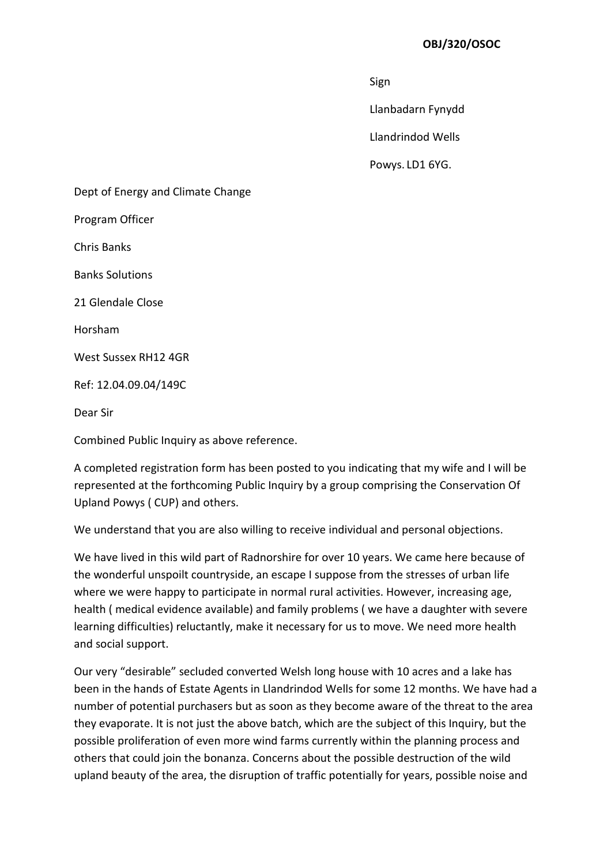## OBJ/320/OSOC

ing the state of the state of the state of the Sign Sign

Llanbadarn Fynydd

Llandrindod Wells

Powys. LD1 6YG.

Dept of Energy and Climate Change Program Officer Chris Banks Banks Solutions 21 Glendale Close Horsham West Sussex RH12 4GR Ref: 12.04.09.04/149C Dear Sir

Combined Public Inquiry as above reference.

A completed registration form has been posted to you indicating that my wife and I will be represented at the forthcoming Public Inquiry by a group comprising the Conservation Of Upland Powys ( CUP) and others.

We understand that you are also willing to receive individual and personal objections.

We have lived in this wild part of Radnorshire for over 10 years. We came here because of the wonderful unspoilt countryside, an escape I suppose from the stresses of urban life where we were happy to participate in normal rural activities. However, increasing age, health ( medical evidence available) and family problems ( we have a daughter with severe learning difficulties) reluctantly, make it necessary for us to move. We need more health and social support.

Our very "desirable" secluded converted Welsh long house with 10 acres and a lake has been in the hands of Estate Agents in Llandrindod Wells for some 12 months. We have had a number of potential purchasers but as soon as they become aware of the threat to the area they evaporate. It is not just the above batch, which are the subject of this Inquiry, but the possible proliferation of even more wind farms currently within the planning process and others that could join the bonanza. Concerns about the possible destruction of the wild upland beauty of the area, the disruption of traffic potentially for years, possible noise and